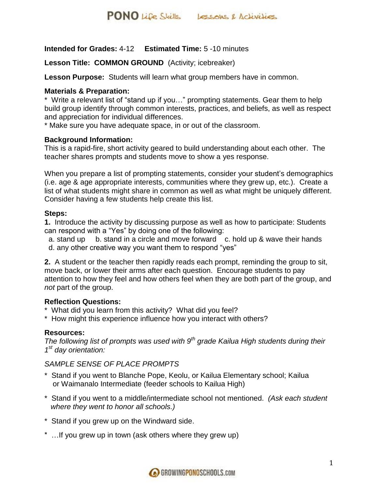## **Intended for Grades:** 4-12 **Estimated Time:** 5 -10 minutes

### **Lesson Title: COMMON GROUND** (Activity; icebreaker)

**Lesson Purpose:** Students will learn what group members have in common.

#### **Materials & Preparation:**

\* Write a relevant list of "stand up if you…" prompting statements. Gear them to help build group identify through common interests, practices, and beliefs, as well as respect and appreciation for individual differences.

\* Make sure you have adequate space, in or out of the classroom.

#### **Background Information:**

This is a rapid-fire, short activity geared to build understanding about each other. The teacher shares prompts and students move to show a yes response.

When you prepare a list of prompting statements, consider your student's demographics (i.e. age & age appropriate interests, communities where they grew up, etc.). Create a list of what students might share in common as well as what might be uniquely different. Consider having a few students help create this list.

#### **Steps:**

**1.** Introduce the activity by discussing purpose as well as how to participate: Students can respond with a "Yes" by doing one of the following:

a. stand up b. stand in a circle and move forward c. hold up & wave their hands d. any other creative way you want them to respond "yes"

**2.** A student or the teacher then rapidly reads each prompt, reminding the group to sit, move back, or lower their arms after each question. Encourage students to pay attention to how they feel and how others feel when they are both part of the group, and *not* part of the group.

#### **Reflection Questions:**

- \* What did you learn from this activity? What did you feel?
- \* How might this experience influence how you interact with others?

#### **Resources:**

*The following list of prompts was used with 9th grade Kailua High students during their 1 st day orientation:*

#### *SAMPLE SENSE OF PLACE PROMPTS*

- \* Stand if you went to Blanche Pope, Keolu, or Kailua Elementary school; Kailua or Waimanalo Intermediate (feeder schools to Kailua High)
- \* Stand if you went to a middle/intermediate school not mentioned. *(Ask each student where they went to honor all schools.)*
- \* Stand if you grew up on the Windward side.
- \* …If you grew up in town (ask others where they grew up)